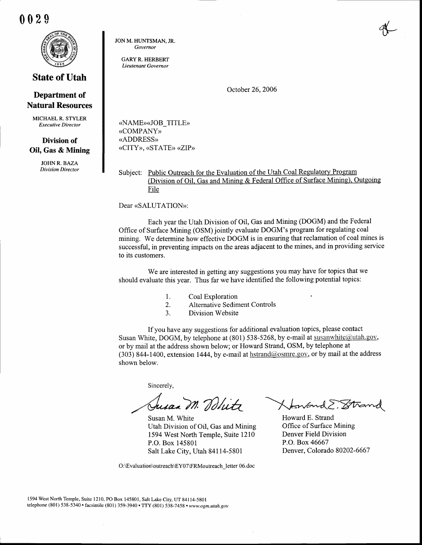002\$



## State of Utah

## Department of Natural Resources

MICHAEL R. STYLER Executive Director

## Division of Oil, Gas & Mining

JOHN R. BAZA Division Director JON M. HUNTSMAN. JR. Governor

> GARY R. HERBERT Lieutenant Governor

> > October 26,2006

«NAME»«JOB\_TITLE» (COMPANY)) (ADDRESS) «CITY», «STATE» «ZIP»

Subject: Public Outreach for the Evaluation of the Utah Coal Regulatory Program (Division of Oil. Gas and Mining & Federal Office of Surface Mining). Outgoing File

Dear «SALUTATION»:

Each year the Utah Division of Oil, Gas and Mining (DOGM) and the Federal Office of Surface Mining (OSM) jointly evaluate DOGM's program for regulating coal mining. We determine how effective DOGM is in ensuring that reclamation of coal mines is successful, in preventing impacts on the areas adjacent to the mines, and in providing service to its customers.

We are interested in getting any suggestions you may have for topics that we should evaluate this year. Thus far we have identified the following potential topics:

- l. Coal Exploration {
- 2. Alternative Sediment Controls
- 3. Division Website

If you have any suggestions for additional evaluation topics, please contact Susan White, DOGM, by telephone at (801) 538-5268, by e-mail at susanwhite@utah.gov, or by mail at the address shown below; or Howard Strand, OSM, by telephone at (303) 844-1400, extension 1444, by e-mail at  $hstrand@osmre.gov$ , or by mail at the address shown below.

Sincerely,

Susan M. White Utah Division of Oil, Gas and Mining 1594 West North Temple, Suite l2l0 P.O. Box 145801 Salt Lake City, Utah 84114-5801

O:\Evaluation\outreach\EY0TVRMoutreach letter 06.doc

Jusan M. Dolitz Howard E. Strand

Howard E. Strand Office of Surface Mining Denver Field Division P.O. Box 46667 Denver, Colorado 80202-6667

1594 West North Temple, Suite 1210, PO Box 145801, Salt Lake City, UT 84114-5801 telephone (801) 538-5340 • facsimile (801) 359-3940 • TTY (801) 538-7458 • www.ogm.utah.gov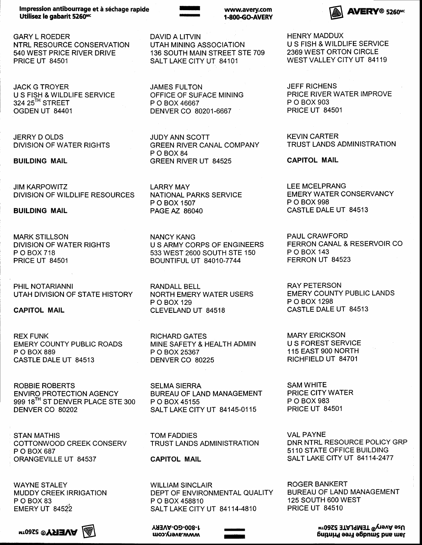Impression antibourrage et à séchage rapide Utilisez le gabarit 5260<sup>mc</sup>

GARY L ROEDER NTRL RESOURCE CONSERVATION 540 WEST PRICE RIVER DRIVE PRICE UT 84501

JACK G TROYER U S FISH & WILDLIFE SERVICE 324 25<sup>TH</sup> STREET OGDEN UT 84401

JERRY D OLDS DIVISION OF WATER RIGHTS

BUILDING MAIL

JIM KARPOWITZ DIVISION OF WILDLIFE RESOURCES

BUILDING MAIL

MARK STILLSON DIVISION OF WATER RIGHTS P O BOX 718 PRICE UT 84501

PHIL NOTARIANNI UTAH DIVISION OF STATE HISTORY

CAPITOL MAIL

REX FUNK EMERY COUNTY PUBLIC ROADS P O BOX 889 CASTLE DALE UT 84513

ROBBIE ROBERTS ENVIRO PROTECTION AGENCY 999 18<sup>TH</sup> ST DENVER PLACE STE 300 DENVER CO 80202

STAN MATHIS COTTONWOOD CREEK CONSERV P O BOX 687 ORANGEVILLE UT 84537

WAYNE STALEY MUDDY CREEK IRRIGATION POBOX<sub>83</sub> **EMERY UT 84522** 

 $\mathbb{Z}$  **AAEKA**® 2560uw



DAVID A LITVIN UTAH MINING ASSOCIATION 136 SOUTH MAIN STREET STE 709 SALT LAKE CITY UT 84101

JAMES FULTON OFFICE OF SUFACE MINING P O BOX 46667 DENVER CO 80201-6667

I -

JUDY ANN SCOTT GREEN RIVER CANAL COMPANY POBOX<sub>84</sub> GREEN RIVER UT 84525

LARRY MAY NATIONAL PARKS SERVICE P O BOX 1507 PAGE AZ 86040

NANCY KANG U S ARMY CORPS OF ENGINEERS 533 WEST 2600 SOUTH STE 150 **BOUNTIFUL UT 84010-7744** 

RANDALL BELL NORTH EMERY WATER USERS P O BOX 129 CLEVELAND UT 84518

RICHARD GATES MINE SAFETY & HEALTH ADMIN P O BOX 25367 DENVER CO 80225

SELMA SIERRA BUREAU OF LAND MANAGEMENT P O BOX 45155 SALT LAKE CITY UT 84145-0115

TOM FADDIES TRUST LANDS ADMINISTRATION

GAPITOL MAIL

WILLIAM SINCLAIR DEPT OF ENVIRONMENTAL QUALITY P O BOX 458810 SALT LAKE CITY UT 84114-4810

> - I

Aulnv-o9-008-r moo.very.com HENRY MADDUX U S FISH & WILDLIFE SERVICE 2369 WEST ORTON CIRCLE

WEST VALLEY CITY UT 84119

**AVERY® 5260<sup>Mc</sup>** 

JEFF RICHENS PRICE RIVER WATER IMPROVE P O BOX 903 PRICE UT 84501

KEVIN CARTER TRUST LANDS ADMINISTRATION

CAPITOL MAIL

LEE MCELPRANG EMERY WATER CONSERVANCY P O BOX 998 CASTLE DALE UT 84513

PAUL CRAWFORD FERRON CANAL & RESERVOIR CO P O BOX 143 FERRON UT 84523

RAY PETERSON EMERY COUNTY PUBLIC LANDS P O BOX 1298 CASTLE DALE UT 84513

MARY ERICKSON U S FOREST SERVICE 1 15 EAST 9OO NORTH RICHFIELD UT 84701

SAM WHITE PRICE CITY WATER P O BOX 983 PRICE UT 84501

VAL PAYNE DNR NTRL RESOURCE POLICY GRP 5110 STATE OFFICE BUILDING **SALT LAKE CITY UT 84114-2477** 

ROGER BANKERT BUREAU OF LAND MANAGEMENT 125 SOUTH 600 WEST PRICE UT 84510

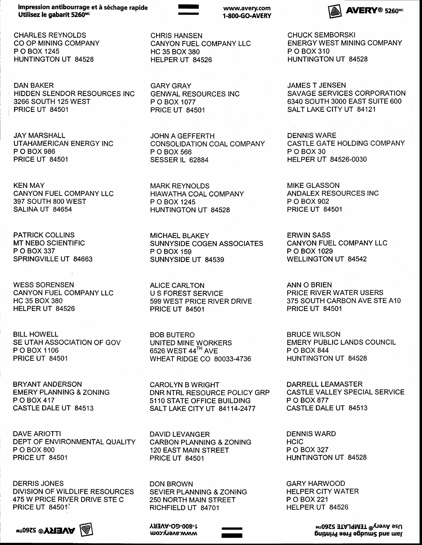Impression antibourrage et à séchage rapide Utilisez le gabarit 5260Mc

CHARLES REYNOLDS CO OP MINING COMPANY P O BOX 1245 HUNTINGTON UT 84528

DAN BAKER HIDDEN SLENDOR RESOURCES INC 3266 SOUTH 125 WEST PRICE UT 84501

JAY MARSHALL UTAHAMERICAN ENERGY INC P O BOX 986 PRICE UT 84501

KEN MAY CANYON FUEL COMPANY LLC 397 SOUTH 8OO WEST SALINA UT 84654

PATRICK COLLINS MT NEBO SCIENTIFIC P O BOX 337 SPRINGVILLE UT 84663

WESS SORENSEN CANYON FUEL COMPANY LLC HC 35 BOX 380 HELPER UT 84526

BILL HOWELL SE UTAH ASSOCIATION OF GOV P O BOX 1106 PRICE UT 84501

BRYANT ANDERSON EMERY PLANNING & ZONING P O BOX 417 CASTLE DALE UT 84513

DAVE ARIOTTI DEPT OF ENVIRONMENTAL QUALITY P O BOX 800 PRICE UT 84501

DERRIS JONES DIVISION OF WILDLIFE RESOURCES 475 W PRICE RIVER DRIVE STE C **PRICE UT 84501** 

mtoasz @**YSIEVA**  $\mathbb{A}$ 



CHRIS HANSEN CANYON FUEL COMPANY LLC HC 35 BOX 380 HELPER UT 84526

r -

GARY GRAY GENWAL RESOURCES INC P O BOX 1077 PRICE UT 84501

JOHN A GEFFERTH CONSOLIDATION COAL COMPANY P O BOX 566 SESSER IL 62884

MARK REYNOLDS HIAWATHA COAL COMPANY P O BOX 1245 HUNTINGTON UT 84528

MICHAEL BLAKEY SUNNYSIDE COGEN ASSOCIATES P O BOX 159 SUNNYSIDE UT 84539

ALICE CARLTON U S FOREST SERVICE 599 WEST PRICE RIVER DRIVE PRICE UT 84501

BOB BUTERO UNITED MINE WORKERS 6526 WEST 44TH AVE WHEAT RIDGE CO 80033.4736

CAROLYN B WRIGHT DNR NTRL RESOURCE POLICY GRP 5110 STATE OFFICE BUILDING SALT LAKE CITY UT 84114-2477

DAVID LEVANGER CARBON PLANNING & ZONING 120 EAST MAIN STREET PRICE UT 84501

DON BROWN SEVIER PLANNING & ZONING 250 NORTH MAIN STREET RICHFIELD UT 84701

> - I

AH^V-O9-008-r www.avery.com  $\mathsf{A} \mathsf{V} \mathsf{E} \mathsf{R} \mathsf{Y}^{\scriptscriptstyle{\text{\rm @}}}$  5260<sup>MC</sup>

CHUCK SEMBORSKI ENERGY WEST MINING COMPANY P O BOX 310 HUNTINGTON UT 84528

JAMES T JENSEN SAVAGE SERVICES CORPORATION 6340 SOUTH 3OOO EAST SUITE 600 SALT LAKE CITY UT 84121

DENNIS WARE CASTLE GATE HOLDING COMPANY POBOX<sub>30</sub> HELPER UT 84526-0030

MIKE GLASSON ANDALEX RESOURCES INC P O BOX 902 PRICE UT 84501

ERWIN SASS CANYON FUEL COMPANY LLC P O BOX 1029 WELLINGTON UT 84542

ANN O BRIEN PRICE RIVER WATER USERS 375 SOUTH CARBON AVE STE A10 PRICE UT 84501

BRUCE WILSON EMERY PUBLIC LANDS COUNCIL P O BOX 844 HUNTINGTON UT 84528

DARRELL LEAMASTER CASTLE VALLEY SPECIAL SERVICE P O BOX 877 CASTLE DALE UT 84513

DENNIS WARD **HCIC** P O BOX 327 HUNTINGTON UT 84528

GARY HARWOOD HELPER CITY WATER P O BOX221 HELPER UT 84526

> uroacy<sup>®</sup> TEMPLATE 5260<sup>rM</sup> 6upu;.r4 eanl a6pnus pue uef